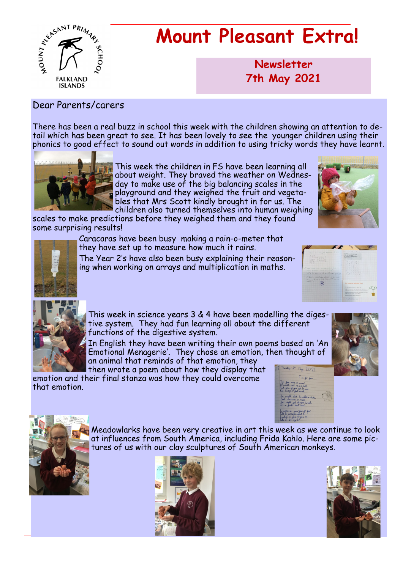

# **Mount Pleasant Extra!**

**Newsletter now 7th May 2021**

#### Dear Parents/carers

There has been a real buzz in school this week with the children showing an attention to detail which has been great to see. It has been lovely to see the younger children using their phonics to good effect to sound out words in addition to using tricky words they have learnt.



This week the children in FS have been learning all about weight. They braved the weather on Wednesday to make use of the big balancing scales in the playground and they weighed the fruit and vegetables that Mrs Scott kindly brought in for us. The children also turned themselves into human weighing

scales to make predictions before they weighed them and they found some surprising results!





Caracaras have been busy making a rain-o-meter that they have set up to measure how much it rains.

The Year 2's have also been busy explaining their reasoning when working on arrays and multiplication in maths.





This week in science years 3 & 4 have been modelling the digestive system. They had fun learning all about the different functions of the digestive system.

In English they have been writing their own poems based on 'An Emotional Menagerie'. They chose an emotion, then thought of an animal that reminds of that emotion, they

then wrote a poem about how they display that emotion and their final stanza was how they could overcome that emotion.





Meadowlarks have been very creative in art this week as we continue to look at influences from South America, including Frida Kahlo. Here are some pictures of us with our clay sculptures of South American monkeys.